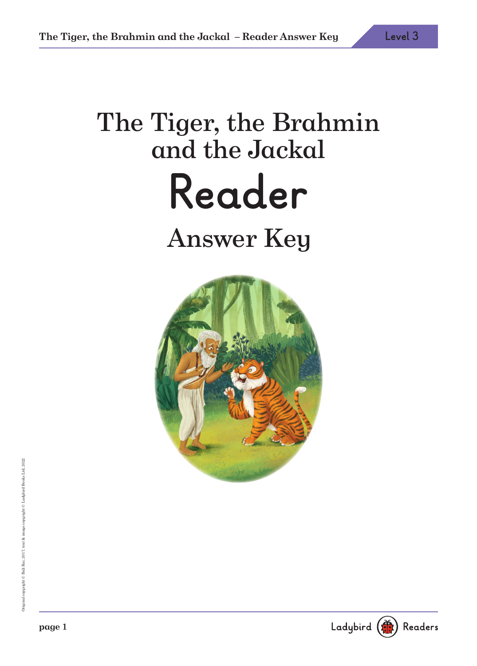# The Tiger, the Brahmin and the Jackal **Reader** Answer Key

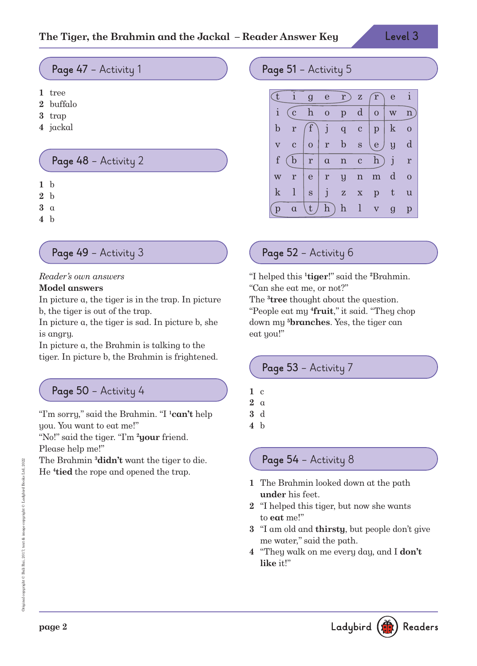#### **Page 47** – Activity 1

- **1** tree
- **2** buffalo
- **3** trap
- **4** jackal

#### **Page 48** – Activity 2

- **1** b
- **2** b
- **3** a
- **4** b

#### **Page 49** – Activity 3

#### Reader's own answers

#### **Model answers**

In picture a, the tiger is in the trap. In picture b, the tiger is out of the trap.

In picture a, the tiger is sad. In picture b, she is angry.

In picture a, the Brahmin is talking to the tiger. In picture b, the Brahmin is frightened.

# **Page 50** – Activity 4

"I'm sorry," said the Brahmin. "I **<sup>1</sup>can't** help you. You want to eat me!"

"No!" said the tiger. "I'm **<sup>2</sup>your** friend. Please help me!"

The Brahmin **<sup>3</sup>didn't** want the tiger to die. He **<sup>4</sup> tied** the rope and opened the trap.

## Page 51 - Activity 5



# **Page 52** – Activity 6

"I helped this **<sup>1</sup> tiger**!" said the **<sup>2</sup>**Brahmin. "Can she eat me, or not?"

The **<sup>3</sup> tree** thought about the question. "People eat my **<sup>4</sup> fruit**," it said. "They chop down my **<sup>5</sup>branches**. Yes, the tiger can eat you!"

#### **Page 53** – Activity 7

**1** c **2** a

**3** d **4** b

# **Page 54** – Activity 8

- **1** The Brahmin looked down at the path **under** his feet.
- **2** "I helped this tiger, but now she wants to **eat** me!"
- **3** "I am old and **thirsty**, but people don't give me water," said the path.
- **4** "They walk on me every day, and I **don't like** it!"